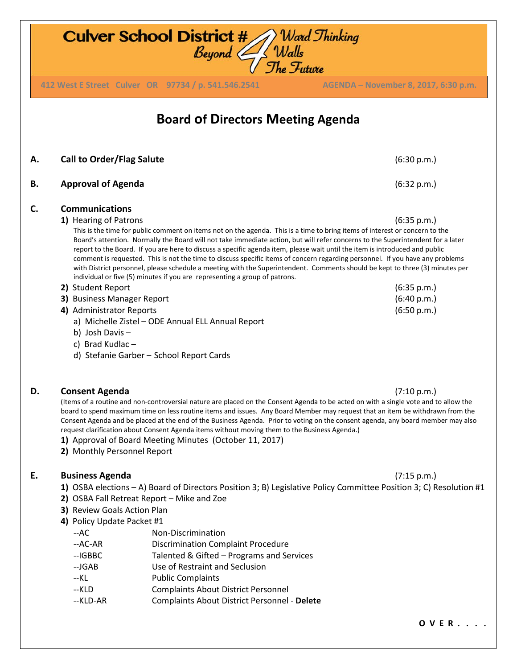**Culver School District #** Ward Thinking<br>Beyond Walls The Future **412 West E Street Culver OR 97734 / p. 541.546.2541 AGENDA – November 8, 2017, 6:30 p.m. 412 West E Street Culver OR 97734 / p. 541.546.2541 AGENDA – November 8, 2017, 6:30 p.m.Board of Directors Meeting Agenda A. Call to Order/Flag Salute** (6:30 p.m.) **B. Approval of Agenda** (6:32 p.m.) **C. Communications 1)** Hearing of Patrons (6:35 p.m.) This is the time for public comment on items not on the agenda. This is a time to bring items of interest or concern to the Board's attention. Normally the Board will not take immediate action, but will refer concerns to the Superintendent for a later report to the Board. If you are here to discuss a specific agenda item, please wait until the item is introduced and public comment is requested. This is not the time to discuss specific items of concern regarding personnel. If you have any problems with District personnel, please schedule a meeting with the Superintendent. Comments should be kept to three (3) minutes per individual or five (5) minutes if you are representing a group of patrons. **2)** Student Report (6:35 p.m.) **3)** Business Manager Report (6:40 p.m.) **4)** Administrator Reports (6:50 p.m.) a) Michelle Zistel – ODE Annual ELL Annual Report b) Josh Davis – c) Brad Kudlac – d) Stefanie Garber – School Report Cards **D. Consent Agenda** (7:10 p.m.) (Items of a routine and non-controversial nature are placed on the Consent Agenda to be acted on with a single vote and to allow the

board to spend maximum time on less routine items and issues. Any Board Member may request that an item be withdrawn from the Consent Agenda and be placed at the end of the Business Agenda. Prior to voting on the consent agenda, any board member may also request clarification about Consent Agenda items without moving them to the Business Agenda.)

- **1)** Approval of Board Meeting Minutes (October 11, 2017)
- **2)** Monthly Personnel Report

## **E. Business Agenda** (7:15 p.m.)

- **1)** OSBA elections A) Board of Directors Position 3; B) Legislative Policy Committee Position 3; C) Resolution #1
- **2)** OSBA Fall Retreat Report Mike and Zoe
- **3)**Review Goals Action Plan
- **4)** Policy Update Packet #1
	- --AC Non-Discrimination
	- --AC-AR Discrimination Complaint Procedure
	- --IGBBC Talented & Gifted Programs and Services
	- --JGAB Use of Restraint and Seclusion
	- --KL Public Complaints
	- --KLD Complaints About District Personnel
	- --KLD-AR Complaints About District Personnel **Delete**

**O V E R . . . .**